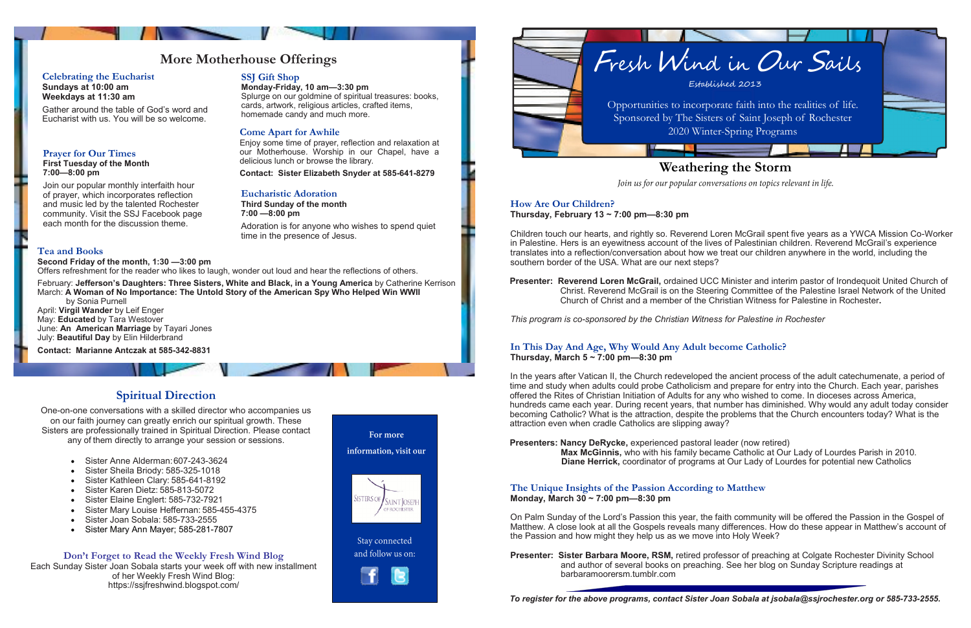# **More Motherhouse Offerings**

#### **Celebrating the Eucharist Sundays at 10:00 am Weekdays at 11:30 am**

Gather around the table of God's word and Eucharist with us. You will be so welcome.

#### **SSJ Gift Shop**

**Monday-Friday, 10 am—3:30 pm** Splurge on our goldmine of spiritual treasures: books, cards, artwork, religious articles, crafted items, homemade candy and much more.

#### **Prayer for Our Times**

**First Tuesday of the Month 7:00—8:00 pm** 

Join our popular monthly interfaith hour of prayer, which incorporates reflection and music led by the talented Rochester community. Visit the SSJ Facebook page each month for the discussion theme.

#### **Tea and Books**

**Second Friday of the month, 1:30 —3:00 pm**  Offers refreshment for the reader who likes to laugh, wonder out loud and hear the reflections of others.

February: **Jefferson's Daughters: Three Sisters, White and Black, in a Young America** by Catherine Kerrison March: **A Woman of No Importance: The Untold Story of the American Spy Who Helped Win WWII** by Sonia Purnell

April: **Virgil Wander** by Leif Enger May: **Educated** by Tara Westover June: **An American Marriage** by Tayari Jones July: **Beautiful Day** by Elin Hilderbrand

**Contact: Marianne Antczak at 585-342-8831**

#### **Eucharistic Adoration**

**Third Sunday of the month 7:00 —8:00 pm** 

Adoration is for anyone who wishes to spend quiet time in the presence of Jesus.



Stay connected and follow us on:



#### **Come Apart for Awhile**

Enjoy some time of prayer, reflection and relaxation at our Motherhouse. Worship in our Chapel, have a delicious lunch or browse the library.

**Contact: Sister Elizabeth Snyder at 585-641-8279**

### **Spiritual Direction**

One-on-one conversations with a skilled director who accompanies us on our faith journey can greatly enrich our spiritual growth. These Sisters are professionally trained in Spiritual Direction. Please contact any of them directly to arrange your session or sessions.

- Sister Anne Alderman:607-243-3624
- Sister Sheila Briody: 585-325-1018
- Sister Kathleen Clary: 585-641-8192
- Sister Karen Dietz: 585-813-5072
- Sister Elaine Englert: 585-732-7921
- Sister Mary Louise Heffernan: 585-455-4375
- Sister Joan Sobala: 585-733-2555
- Sister Mary Ann Mayer; 585-281-7807



#### **How Are Our Children?**

**Thursday, February 13 ~ 7:00 pm—8:30 pm** 

Children touch our hearts, and rightly so. Reverend Loren McGrail spent five years as a YWCA Mission Co-Worker in Palestine. Hers is an eyewitness account of the lives of Palestinian children. Reverend McGrail's experience translates into a reflection/conversation about how we treat our children anywhere in the world, including the southern border of the USA. What are our next steps?

**Presenter: Reverend Loren McGrail,** ordained UCC Minister and interim pastor of Irondequoit United Church of Christ. Reverend McGrail is on the Steering Committee of the Palestine Israel Network of the United Church of Christ and a member of the Christian Witness for Palestine in Rochester**.**

*This program is co-sponsored by the Christian Witness for Palestine in Rochester*

#### **In This Day And Age, Why Would Any Adult become Catholic? Thursday, March 5 ~ 7:00 pm—8:30 pm**

In the years after Vatican II, the Church redeveloped the ancient process of the adult catechumenate, a period of time and study when adults could probe Catholicism and prepare for entry into the Church. Each year, parishes offered the Rites of Christian Initiation of Adults for any who wished to come. In dioceses across America, hundreds came each year. During recent years, that number has diminished. Why would any adult today consider becoming Catholic? What is the attraction, despite the problems that the Church encounters today? What is the attraction even when cradle Catholics are slipping away?

**Presenters: Nancy DeRycke,** experienced pastoral leader (now retired)  **Max McGinnis,** who with his family became Catholic at Our Lady of Lourdes Parish in 2010. **Diane Herrick,** coordinator of programs at Our Lady of Lourdes for potential new Catholics

#### **The Unique Insights of the Passion According to Matthew Monday, March 30 ~ 7:00 pm—8:30 pm**

On Palm Sunday of the Lord's Passion this year, the faith community will be offered the Passion in the Gospel of Matthew. A close look at all the Gospels reveals many differences. How do these appear in Matthew's account of the Passion and how might they help us as we move into Holy Week?

**Presenter: Sister Barbara Moore, RSM,** retired professor of preaching at Colgate Rochester Divinity School and author of several books on preaching. See her blog on Sunday Scripture readings at barbaramoorersm.tumblr.com

# **Weathering the Storm**

Join us for our popular conversations on topics relevant in life.

#### **Don't Forget to Read the Weekly Fresh Wind Blog**

Each Sunday Sister Joan Sobala starts your week off with new installment of her Weekly Fresh Wind Blog: https://ssjfreshwind.blogspot.com/